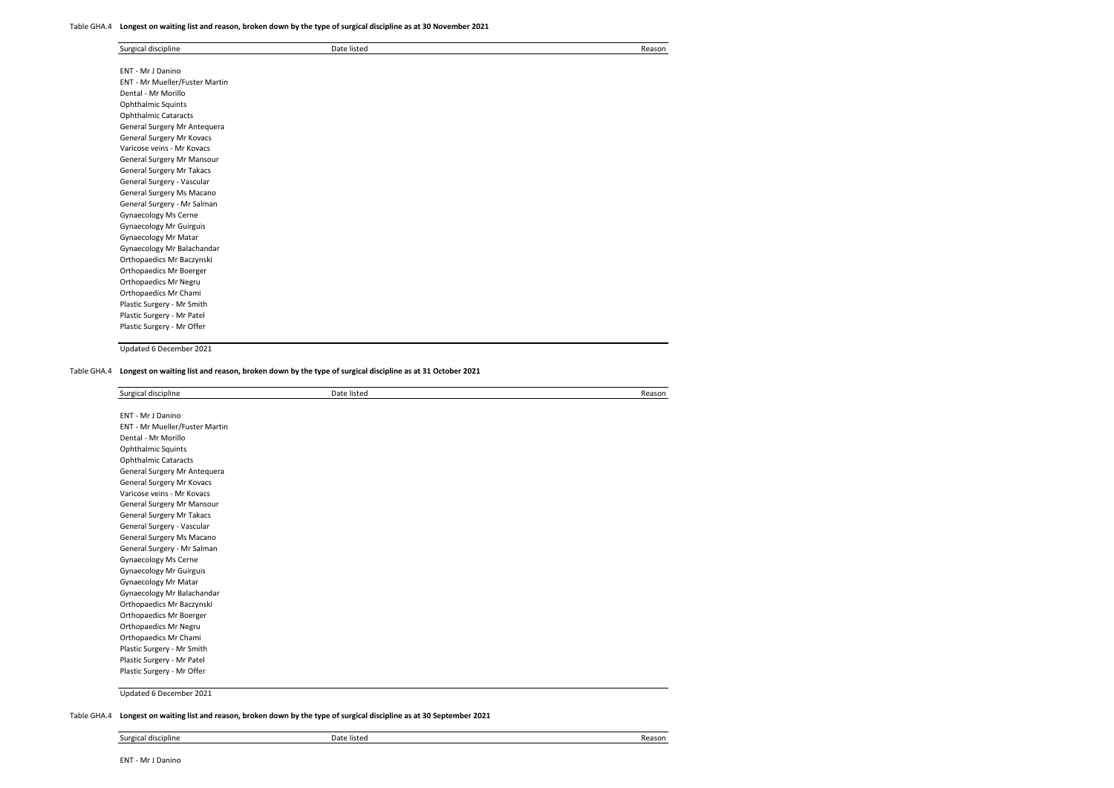#### Table GHA.4 **Longest on waiting list and reason, broken down by the type of surgical discipline as at 30 November 2021**

| Surgical discipline            | Date listed | Reason |
|--------------------------------|-------------|--------|
|                                |             |        |
| ENT - Mr J Danino              |             |        |
| ENT - Mr Mueller/Fuster Martin |             |        |
| Dental - Mr Morillo            |             |        |
| Ophthalmic Squints             |             |        |
| <b>Ophthalmic Cataracts</b>    |             |        |
| General Surgery Mr Antequera   |             |        |
| General Surgery Mr Kovacs      |             |        |
| Varicose veins - Mr Kovacs     |             |        |
| General Surgery Mr Mansour     |             |        |
| General Surgery Mr Takacs      |             |        |
| General Surgery - Vascular     |             |        |
| General Surgery Ms Macano      |             |        |
| General Surgery - Mr Salman    |             |        |
| Gynaecology Ms Cerne           |             |        |
| <b>Gynaecology Mr Guirguis</b> |             |        |
| Gynaecology Mr Matar           |             |        |
| Gynaecology Mr Balachandar     |             |        |
| Orthopaedics Mr Baczynski      |             |        |
| Orthopaedics Mr Boerger        |             |        |
| Orthopaedics Mr Negru          |             |        |
| Orthopaedics Mr Chami          |             |        |
| Plastic Surgery - Mr Smith     |             |        |
| Plastic Surgery - Mr Patel     |             |        |
| Plastic Surgery - Mr Offer     |             |        |

Updated 6 December 2021

Table GHA.4 **Longest on waiting list and reason, broken down by the type of surgical discipline as at 31 October 2021**

| Surgical discipline            | Date listed | Reason |
|--------------------------------|-------------|--------|
|                                |             |        |
| ENT - Mr J Danino              |             |        |
| ENT - Mr Mueller/Fuster Martin |             |        |
| Dental - Mr Morillo            |             |        |
| Ophthalmic Squints             |             |        |
| <b>Ophthalmic Cataracts</b>    |             |        |
| General Surgery Mr Antequera   |             |        |
| General Surgery Mr Kovacs      |             |        |
| Varicose veins - Mr Kovacs     |             |        |
| General Surgery Mr Mansour     |             |        |
| General Surgery Mr Takacs      |             |        |
| General Surgery - Vascular     |             |        |
| General Surgery Ms Macano      |             |        |
| General Surgery - Mr Salman    |             |        |
| <b>Gynaecology Ms Cerne</b>    |             |        |
| <b>Gynaecology Mr Guirguis</b> |             |        |
| Gynaecology Mr Matar           |             |        |
| Gynaecology Mr Balachandar     |             |        |
| Orthopaedics Mr Baczynski      |             |        |
| Orthopaedics Mr Boerger        |             |        |
| Orthopaedics Mr Negru          |             |        |
| Orthopaedics Mr Chami          |             |        |
| Plastic Surgery - Mr Smith     |             |        |
| Plastic Surgery - Mr Patel     |             |        |
| Plastic Surgery - Mr Offer     |             |        |
|                                |             |        |

Updated 6 December 2021

Table GHA.4 **Longest on waiting list and reason, broken down by the type of surgical discipline as at 30 September 2021**

| Surgical discipline | Date listed | Reason |
|---------------------|-------------|--------|
|---------------------|-------------|--------|

ENT - Mr J Danino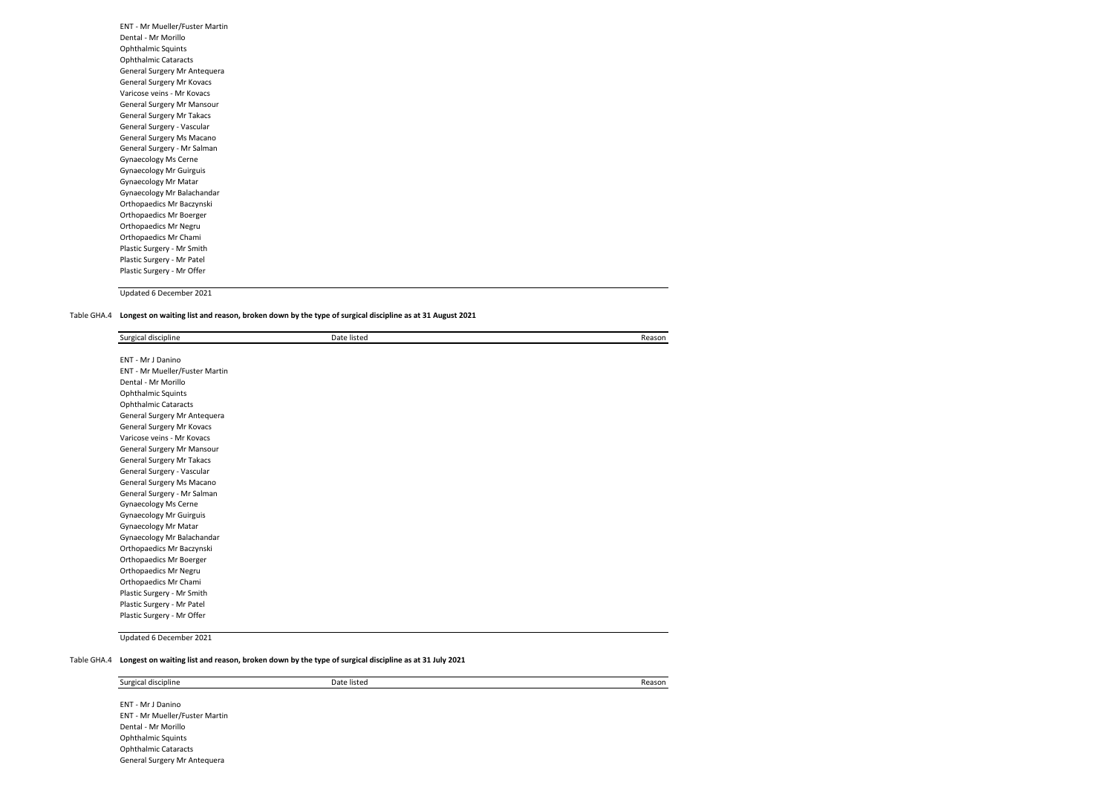| ENT - Mr Mueller/Fuster Martin |  |
|--------------------------------|--|
| Dental - Mr Morillo            |  |
| <b>Ophthalmic Squints</b>      |  |
| <b>Ophthalmic Cataracts</b>    |  |
| General Surgery Mr Antequera   |  |
| General Surgery Mr Kovacs      |  |
| Varicose veins - Mr Kovacs     |  |
| General Surgery Mr Mansour     |  |
| General Surgery Mr Takacs      |  |
| General Surgery - Vascular     |  |
| General Surgery Ms Macano      |  |
| General Surgery - Mr Salman    |  |
| Gynaecology Ms Cerne           |  |
| <b>Gynaecology Mr Guirguis</b> |  |
| <b>Gynaecology Mr Matar</b>    |  |
| Gynaecology Mr Balachandar     |  |
| Orthopaedics Mr Baczynski      |  |
| Orthopaedics Mr Boerger        |  |
| Orthopaedics Mr Negru          |  |
| Orthopaedics Mr Chami          |  |
| Plastic Surgery - Mr Smith     |  |
| Plastic Surgery - Mr Patel     |  |
| Plastic Surgery - Mr Offer     |  |
|                                |  |

## Table GHA.4 **Longest on waiting list and reason, broken down by the type of surgical discipline as at 31 August 2021**

| Surgical discipline            | Date listed | Reason |
|--------------------------------|-------------|--------|
| ENT - Mr J Danino              |             |        |
| ENT - Mr Mueller/Fuster Martin |             |        |
| Dental - Mr Morillo            |             |        |
|                                |             |        |
| Ophthalmic Squints             |             |        |
| <b>Ophthalmic Cataracts</b>    |             |        |
| General Surgery Mr Antequera   |             |        |
| General Surgery Mr Kovacs      |             |        |
| Varicose veins - Mr Kovacs     |             |        |
| General Surgery Mr Mansour     |             |        |
| General Surgery Mr Takacs      |             |        |
| General Surgery - Vascular     |             |        |
| General Surgery Ms Macano      |             |        |
| General Surgery - Mr Salman    |             |        |
| Gynaecology Ms Cerne           |             |        |
| Gynaecology Mr Guirguis        |             |        |
| Gynaecology Mr Matar           |             |        |
| Gynaecology Mr Balachandar     |             |        |
| Orthopaedics Mr Baczynski      |             |        |
| Orthopaedics Mr Boerger        |             |        |
| Orthopaedics Mr Negru          |             |        |
| Orthopaedics Mr Chami          |             |        |
| Plastic Surgery - Mr Smith     |             |        |
| Plastic Surgery - Mr Patel     |             |        |
| Plastic Surgery - Mr Offer     |             |        |

Updated 6 December 2021

#### Table GHA.4 **Longest on waiting list and reason, broken down by the type of surgical discipline as at 31 July 2021**

Surgical discipline Date listed Reason

ENT - Mr J Danino ENT - Mr Mueller/Fuster Martin Dental - Mr Morillo Ophthalmic Squints Ophthalmic Cataracts General Surgery Mr Antequera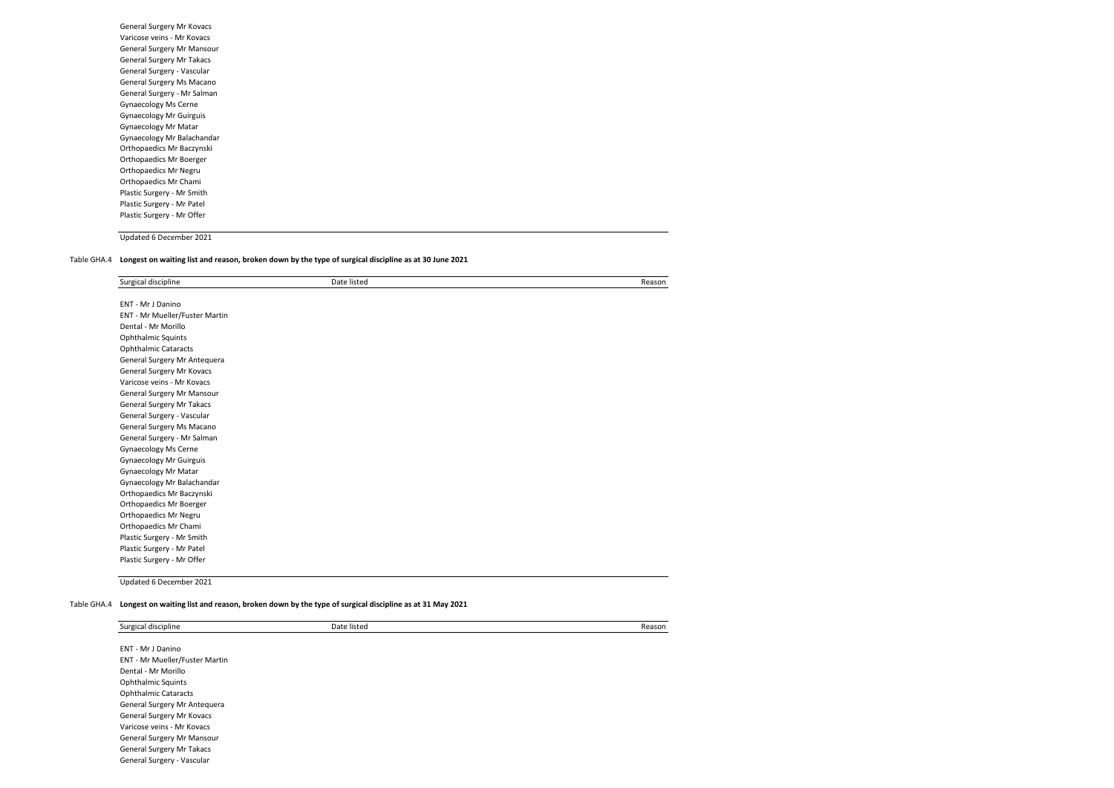| General Surgery Mr Kovacs      |
|--------------------------------|
| Varicose veins - Mr Kovacs     |
| General Surgery Mr Mansour     |
| General Surgery Mr Takacs      |
| General Surgery - Vascular     |
| General Surgery Ms Macano      |
| General Surgery - Mr Salman    |
| <b>Gynaecology Ms Cerne</b>    |
| <b>Gynaecology Mr Guirguis</b> |
| <b>Gynaecology Mr Matar</b>    |
| Gynaecology Mr Balachandar     |
| Orthopaedics Mr Baczynski      |
| Orthopaedics Mr Boerger        |
| Orthopaedics Mr Negru          |
| Orthopaedics Mr Chami          |
| Plastic Surgery - Mr Smith     |
| Plastic Surgery - Mr Patel     |
| Plastic Surgery - Mr Offer     |
|                                |

Table GHA.4 **Longest on waiting list and reason, broken down by the type of surgical discipline as at 30 June 2021**

| Surgical discipline            | Date listed | Reason |
|--------------------------------|-------------|--------|
| ENT - Mr J Danino              |             |        |
| ENT - Mr Mueller/Fuster Martin |             |        |
| Dental - Mr Morillo            |             |        |
| <b>Ophthalmic Squints</b>      |             |        |
| <b>Ophthalmic Cataracts</b>    |             |        |
| General Surgery Mr Antequera   |             |        |
| General Surgery Mr Kovacs      |             |        |
| Varicose veins - Mr Kovacs     |             |        |
| General Surgery Mr Mansour     |             |        |
| General Surgery Mr Takacs      |             |        |
| General Surgery - Vascular     |             |        |
| General Surgery Ms Macano      |             |        |
| General Surgery - Mr Salman    |             |        |
| <b>Gynaecology Ms Cerne</b>    |             |        |
| <b>Gynaecology Mr Guirguis</b> |             |        |
| Gynaecology Mr Matar           |             |        |
| Gynaecology Mr Balachandar     |             |        |
| Orthopaedics Mr Baczynski      |             |        |
| Orthopaedics Mr Boerger        |             |        |
| Orthopaedics Mr Negru          |             |        |
| Orthopaedics Mr Chami          |             |        |
| Plastic Surgery - Mr Smith     |             |        |
| Plastic Surgery - Mr Patel     |             |        |
| Plastic Surgery - Mr Offer     |             |        |

Updated 6 December 2021

Table GHA.4 **Longest on waiting list and reason, broken down by the type of surgical discipline as at 31 May 2021**

| Surgical discipline            | Date listed | Reason |
|--------------------------------|-------------|--------|
|                                |             |        |
| ENT - Mr J Danino              |             |        |
| ENT - Mr Mueller/Fuster Martin |             |        |
| Dental - Mr Morillo            |             |        |
| <b>Ophthalmic Squints</b>      |             |        |
| <b>Ophthalmic Cataracts</b>    |             |        |
| General Surgery Mr Antequera   |             |        |
| General Surgery Mr Kovacs      |             |        |
| Varicose veins - Mr Kovacs     |             |        |
| General Surgery Mr Mansour     |             |        |
| General Surgery Mr Takacs      |             |        |
| General Surgery - Vascular     |             |        |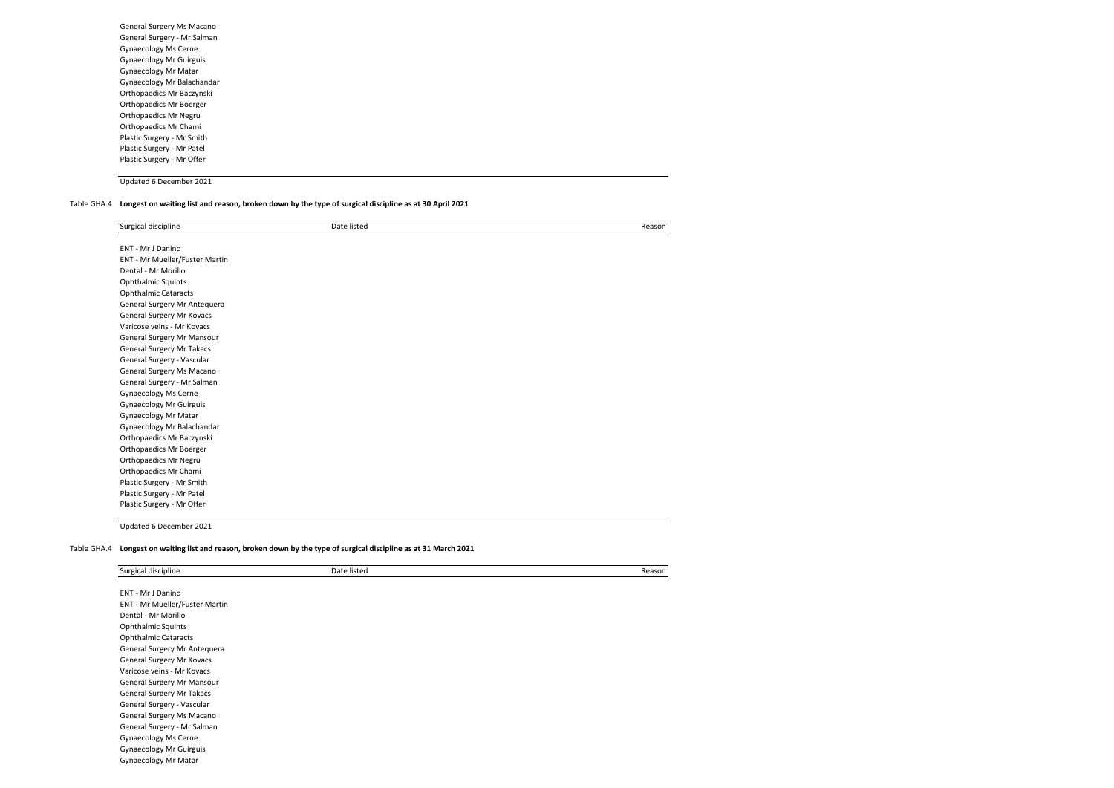General Surgery Ms Macano General Surgery - Mr Salman Gynaecology Ms Cerne Gynaecology Mr Guirguis Gynaecology Mr Matar Gynaecology Mr Balachandar Orthopaedics Mr Baczynski Orthopaedics Mr Boerger Orthopaedics Mr Negru Orthopaedics Mr Chami Plastic Surgery - Mr Smith Plastic Surgery - Mr Patel Plastic Surgery - Mr Offer

Updated 6 December 2021

#### Table GHA.4 **Longest on waiting list and reason, broken down by the type of surgical discipline as at 30 April 2021**

| Surgical discipline            | Date listed | Reason |
|--------------------------------|-------------|--------|
|                                |             |        |
| ENT - Mr J Danino              |             |        |
| ENT - Mr Mueller/Fuster Martin |             |        |
| Dental - Mr Morillo            |             |        |
| Ophthalmic Squints             |             |        |
| <b>Ophthalmic Cataracts</b>    |             |        |
| General Surgery Mr Antequera   |             |        |
| General Surgery Mr Kovacs      |             |        |
| Varicose veins - Mr Kovacs     |             |        |
| General Surgery Mr Mansour     |             |        |
| General Surgery Mr Takacs      |             |        |
| General Surgery - Vascular     |             |        |
| General Surgery Ms Macano      |             |        |
| General Surgery - Mr Salman    |             |        |
| Gynaecology Ms Cerne           |             |        |
| Gynaecology Mr Guirguis        |             |        |
| Gynaecology Mr Matar           |             |        |
| Gynaecology Mr Balachandar     |             |        |
| Orthopaedics Mr Baczynski      |             |        |
| Orthopaedics Mr Boerger        |             |        |
| Orthopaedics Mr Negru          |             |        |
| Orthopaedics Mr Chami          |             |        |
| Plastic Surgery - Mr Smith     |             |        |
| Plastic Surgery - Mr Patel     |             |        |
| Plastic Surgery - Mr Offer     |             |        |

Updated 6 December 2021

#### Table GHA.4 **Longest on waiting list and reason, broken down by the type of surgical discipline as at 31 March 2021**

| Surgical discipline            | Date listed | Reason |
|--------------------------------|-------------|--------|
| ENT - Mr J Danino              |             |        |
| ENT - Mr Mueller/Fuster Martin |             |        |
| Dental - Mr Morillo            |             |        |
| <b>Ophthalmic Squints</b>      |             |        |
| <b>Ophthalmic Cataracts</b>    |             |        |
| General Surgery Mr Antequera   |             |        |
| General Surgery Mr Kovacs      |             |        |
| Varicose veins - Mr Kovacs     |             |        |
| General Surgery Mr Mansour     |             |        |
| General Surgery Mr Takacs      |             |        |
| General Surgery - Vascular     |             |        |
| General Surgery Ms Macano      |             |        |
| General Surgery - Mr Salman    |             |        |
| Gynaecology Ms Cerne           |             |        |
| <b>Gynaecology Mr Guirguis</b> |             |        |
| Gynaecology Mr Matar           |             |        |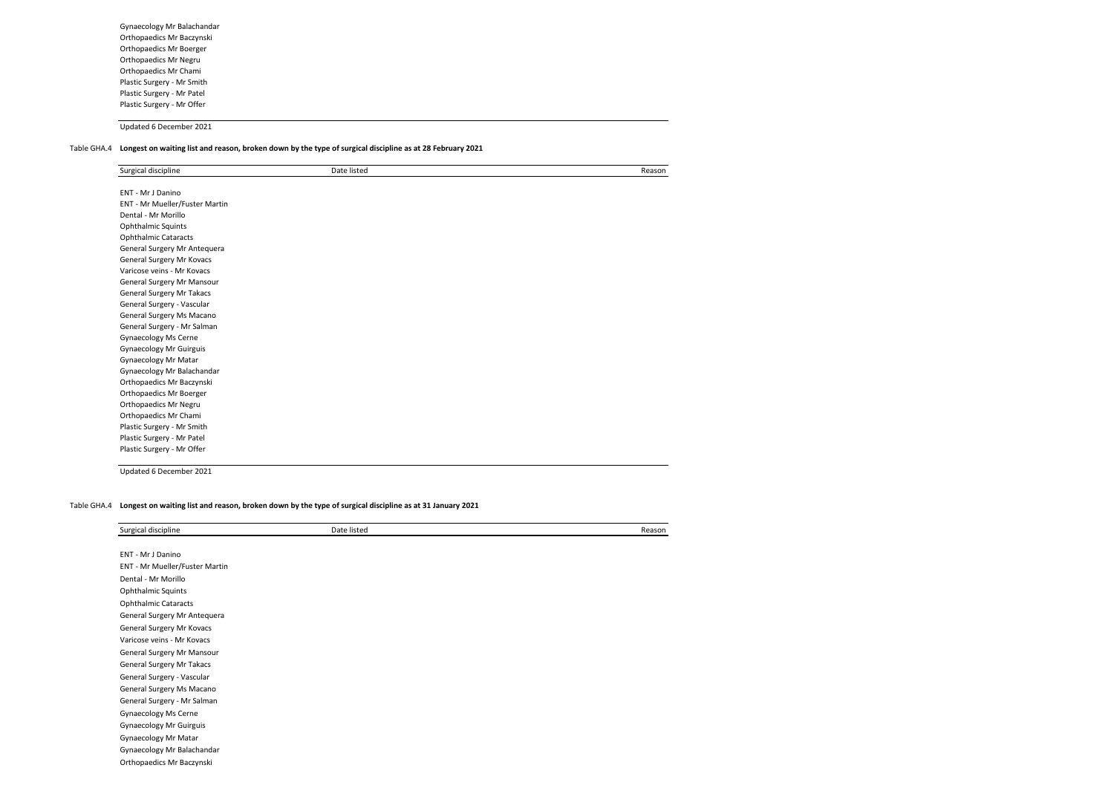Gynaecology Mr Balachandar Orthopaedics Mr Baczynski Orthopaedics Mr Boerger Orthopaedics Mr Negru Orthopaedics Mr Chami Plastic Surgery - Mr Smith Plastic Surgery - Mr Patel Plastic Surgery - Mr Offer

Updated 6 December 2021

## Table GHA.4 **Longest on waiting list and reason, broken down by the type of surgical discipline as at 28 February 2021**

| Surgical discipline              | Date listed | Reason |
|----------------------------------|-------------|--------|
| ENT - Mr J Danino                |             |        |
| ENT - Mr Mueller/Fuster Martin   |             |        |
| Dental - Mr Morillo              |             |        |
| Ophthalmic Squints               |             |        |
| <b>Ophthalmic Cataracts</b>      |             |        |
| General Surgery Mr Antequera     |             |        |
| General Surgery Mr Kovacs        |             |        |
| Varicose veins - Mr Kovacs       |             |        |
| General Surgery Mr Mansour       |             |        |
| <b>General Surgery Mr Takacs</b> |             |        |
| General Surgery - Vascular       |             |        |
| General Surgery Ms Macano        |             |        |
| General Surgery - Mr Salman      |             |        |
| Gynaecology Ms Cerne             |             |        |
| <b>Gynaecology Mr Guirguis</b>   |             |        |
| Gynaecology Mr Matar             |             |        |
| Gynaecology Mr Balachandar       |             |        |
| Orthopaedics Mr Baczynski        |             |        |
| Orthopaedics Mr Boerger          |             |        |
| Orthopaedics Mr Negru            |             |        |
| Orthopaedics Mr Chami            |             |        |
| Plastic Surgery - Mr Smith       |             |        |
| Plastic Surgery - Mr Patel       |             |        |
| Plastic Surgery - Mr Offer       |             |        |

Updated 6 December 2021

#### Table GHA.4 **Longest on waiting list and reason, broken down by the type of surgical discipline as at 31 January 2021**

| Surgical discipline            | Date listed | Reason |
|--------------------------------|-------------|--------|
|                                |             |        |
| ENT - Mr J Danino              |             |        |
| ENT - Mr Mueller/Fuster Martin |             |        |
| Dental - Mr Morillo            |             |        |
| <b>Ophthalmic Squints</b>      |             |        |
| <b>Ophthalmic Cataracts</b>    |             |        |
| General Surgery Mr Antequera   |             |        |
| General Surgery Mr Kovacs      |             |        |
| Varicose veins - Mr Kovacs     |             |        |
| General Surgery Mr Mansour     |             |        |
| General Surgery Mr Takacs      |             |        |
| General Surgery - Vascular     |             |        |
| General Surgery Ms Macano      |             |        |
| General Surgery - Mr Salman    |             |        |
| Gynaecology Ms Cerne           |             |        |
| <b>Gynaecology Mr Guirguis</b> |             |        |
| Gynaecology Mr Matar           |             |        |
| Gynaecology Mr Balachandar     |             |        |
| Orthopaedics Mr Baczynski      |             |        |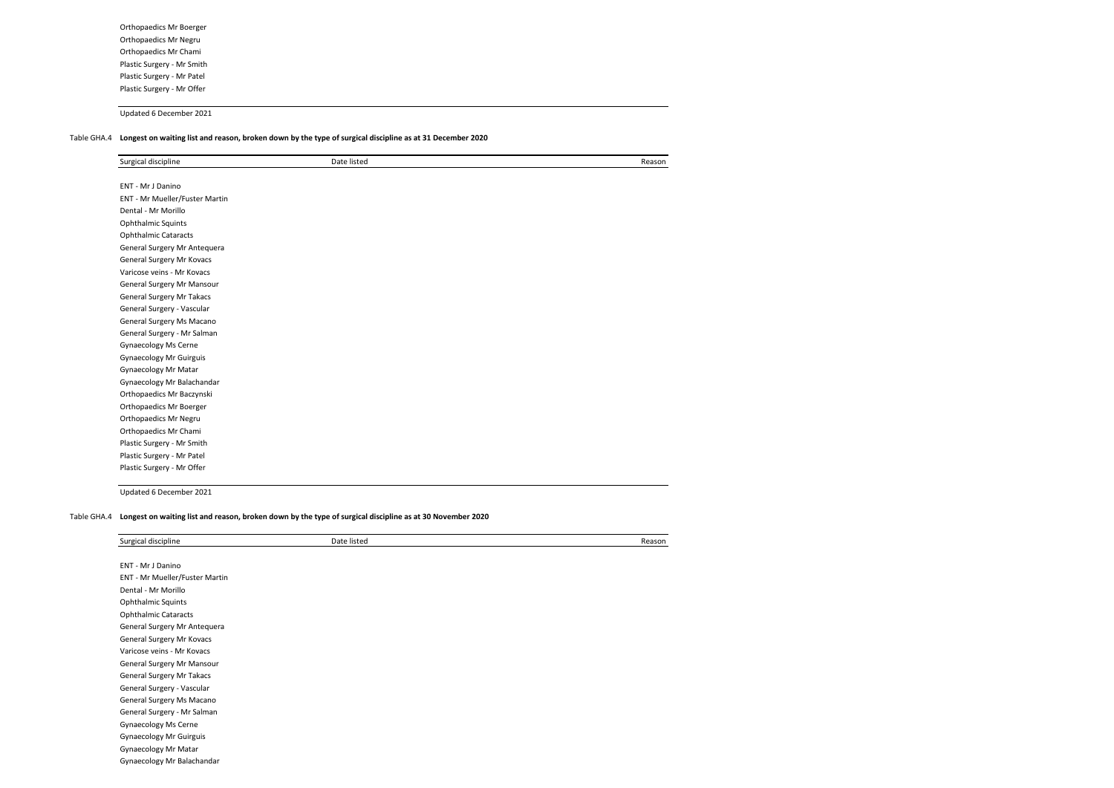Orthopaedics Mr Boerger Orthopaedics Mr Negru Orthopaedics Mr Chami Plastic Surgery - Mr Smith Plastic Surgery - Mr Patel Plastic Surgery - Mr Offer

Updated 6 December 2021

## Table GHA.4 **Longest on waiting list and reason, broken down by the type of surgical discipline as at 31 December 2020**

| Surgical discipline            | Date listed | Reason |
|--------------------------------|-------------|--------|
|                                |             |        |
| ENT - Mr J Danino              |             |        |
| ENT - Mr Mueller/Fuster Martin |             |        |
| Dental - Mr Morillo            |             |        |
| <b>Ophthalmic Squints</b>      |             |        |
| <b>Ophthalmic Cataracts</b>    |             |        |
| General Surgery Mr Antequera   |             |        |
| General Surgery Mr Kovacs      |             |        |
| Varicose veins - Mr Kovacs     |             |        |
| General Surgery Mr Mansour     |             |        |
| General Surgery Mr Takacs      |             |        |
| General Surgery - Vascular     |             |        |
| General Surgery Ms Macano      |             |        |
| General Surgery - Mr Salman    |             |        |
| Gynaecology Ms Cerne           |             |        |
| <b>Gynaecology Mr Guirguis</b> |             |        |
| Gynaecology Mr Matar           |             |        |
| Gynaecology Mr Balachandar     |             |        |
| Orthopaedics Mr Baczynski      |             |        |
| Orthopaedics Mr Boerger        |             |        |
| Orthopaedics Mr Negru          |             |        |
| Orthopaedics Mr Chami          |             |        |
| Plastic Surgery - Mr Smith     |             |        |
| Plastic Surgery - Mr Patel     |             |        |
| Plastic Surgery - Mr Offer     |             |        |

Updated 6 December 2021

#### Table GHA.4 **Longest on waiting list and reason, broken down by the type of surgical discipline as at 30 November 2020**

| Surgical discipline            | Date listed | Reason |
|--------------------------------|-------------|--------|
| ENT - Mr J Danino              |             |        |
| ENT - Mr Mueller/Fuster Martin |             |        |
| Dental - Mr Morillo            |             |        |
| <b>Ophthalmic Squints</b>      |             |        |
| <b>Ophthalmic Cataracts</b>    |             |        |
| General Surgery Mr Antequera   |             |        |
| General Surgery Mr Kovacs      |             |        |
| Varicose veins - Mr Kovacs     |             |        |
| General Surgery Mr Mansour     |             |        |
| General Surgery Mr Takacs      |             |        |
| General Surgery - Vascular     |             |        |
| General Surgery Ms Macano      |             |        |
| General Surgery - Mr Salman    |             |        |
| Gynaecology Ms Cerne           |             |        |
| Gynaecology Mr Guirguis        |             |        |
| Gynaecology Mr Matar           |             |        |
| Gynaecology Mr Balachandar     |             |        |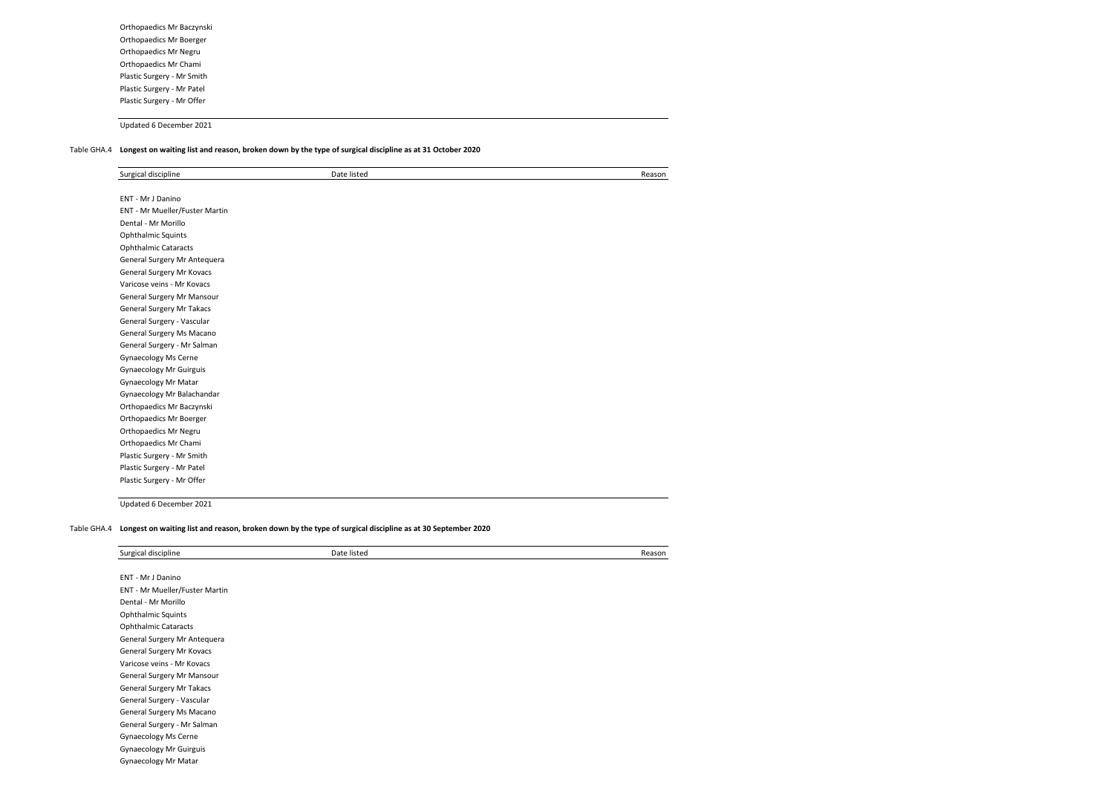Orthopaedics Mr Baczynski Orthopaedics Mr Boerger Orthopaedics Mr Negru Orthopaedics Mr Chami Plastic Surgery - Mr Smith Plastic Surgery - Mr Patel Plastic Surgery - Mr Offer

Updated 6 December 2021

#### Table GHA.4 **Longest on waiting list and reason, broken down by the type of surgical discipline as at 31 October 2020**

| Surgical discipline            | Date listed | Reason |
|--------------------------------|-------------|--------|
|                                |             |        |
| ENT - Mr J Danino              |             |        |
| ENT - Mr Mueller/Fuster Martin |             |        |
| Dental - Mr Morillo            |             |        |
| Ophthalmic Squints             |             |        |
| <b>Ophthalmic Cataracts</b>    |             |        |
| General Surgery Mr Antequera   |             |        |
| General Surgery Mr Kovacs      |             |        |
| Varicose veins - Mr Kovacs     |             |        |
| General Surgery Mr Mansour     |             |        |
| General Surgery Mr Takacs      |             |        |
| General Surgery - Vascular     |             |        |
| General Surgery Ms Macano      |             |        |
| General Surgery - Mr Salman    |             |        |
| Gynaecology Ms Cerne           |             |        |
| <b>Gynaecology Mr Guirguis</b> |             |        |
| Gynaecology Mr Matar           |             |        |
| Gynaecology Mr Balachandar     |             |        |
| Orthopaedics Mr Baczynski      |             |        |
| Orthopaedics Mr Boerger        |             |        |
| Orthopaedics Mr Negru          |             |        |
| Orthopaedics Mr Chami          |             |        |
| Plastic Surgery - Mr Smith     |             |        |
| Plastic Surgery - Mr Patel     |             |        |
| Plastic Surgery - Mr Offer     |             |        |

Updated 6 December 2021

#### Table GHA.4 **Longest on waiting list and reason, broken down by the type of surgical discipline as at 30 September 2020**

| Surgical discipline            | Date listed | Reason |
|--------------------------------|-------------|--------|
|                                |             |        |
| ENT - Mr J Danino              |             |        |
| ENT - Mr Mueller/Fuster Martin |             |        |
| Dental - Mr Morillo            |             |        |
| <b>Ophthalmic Squints</b>      |             |        |
| <b>Ophthalmic Cataracts</b>    |             |        |
| General Surgery Mr Antequera   |             |        |
| General Surgery Mr Kovacs      |             |        |
| Varicose veins - Mr Kovacs     |             |        |
| General Surgery Mr Mansour     |             |        |
| General Surgery Mr Takacs      |             |        |
| General Surgery - Vascular     |             |        |
| General Surgery Ms Macano      |             |        |
| General Surgery - Mr Salman    |             |        |
| Gynaecology Ms Cerne           |             |        |
| <b>Gynaecology Mr Guirguis</b> |             |        |
| Gynaecology Mr Matar           |             |        |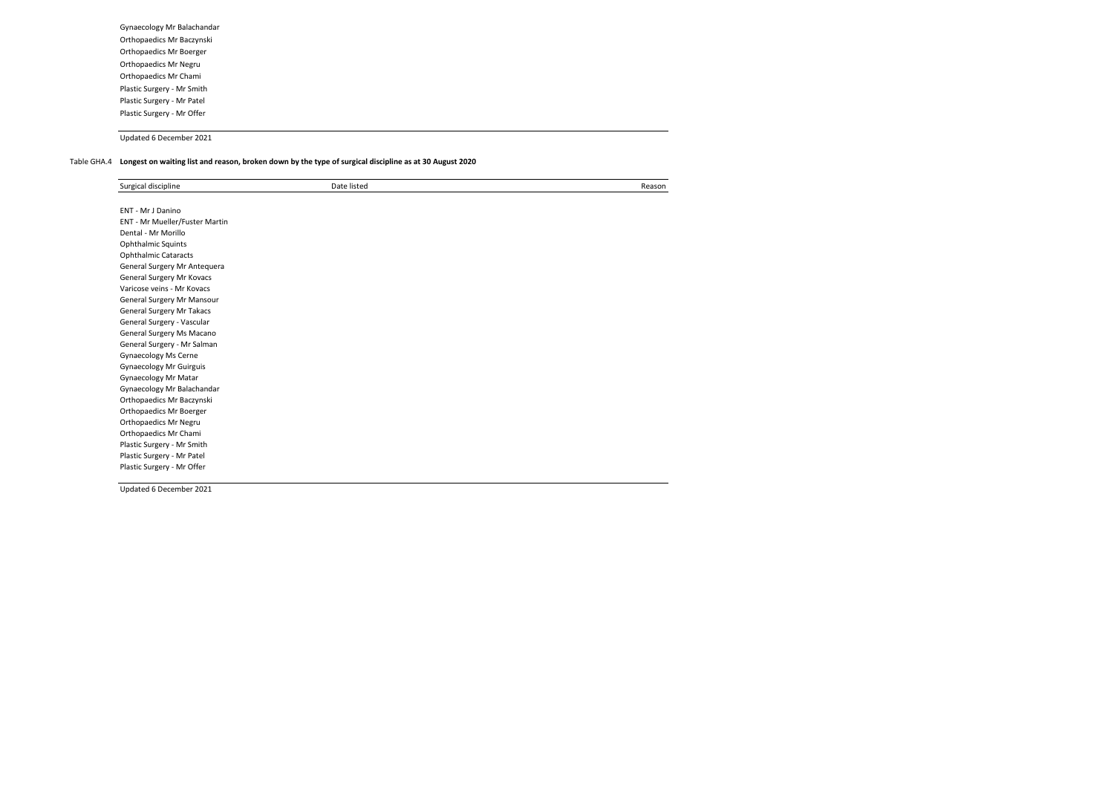Gynaecology Mr Balachandar Orthopaedics Mr Baczynski Orthopaedics Mr Boerger Orthopaedics Mr Negru Orthopaedics Mr Chami Plastic Surgery - Mr Smith Plastic Surgery - Mr Patel Plastic Surgery - Mr Offer

Updated 6 December 2021

## Table GHA.4 **Longest on waiting list and reason, broken down by the type of surgical discipline as at 30 August 2020**

| Surgical discipline            | Date listed | Reason |
|--------------------------------|-------------|--------|
|                                |             |        |
| ENT - Mr J Danino              |             |        |
| ENT - Mr Mueller/Fuster Martin |             |        |
| Dental - Mr Morillo            |             |        |
| Ophthalmic Squints             |             |        |
| <b>Ophthalmic Cataracts</b>    |             |        |
| General Surgery Mr Antequera   |             |        |
| General Surgery Mr Kovacs      |             |        |
| Varicose veins - Mr Kovacs     |             |        |
| General Surgery Mr Mansour     |             |        |
| General Surgery Mr Takacs      |             |        |
| General Surgery - Vascular     |             |        |
| General Surgery Ms Macano      |             |        |
| General Surgery - Mr Salman    |             |        |
| Gynaecology Ms Cerne           |             |        |
| <b>Gynaecology Mr Guirguis</b> |             |        |
| <b>Gynaecology Mr Matar</b>    |             |        |
| Gynaecology Mr Balachandar     |             |        |
| Orthopaedics Mr Baczynski      |             |        |
| Orthopaedics Mr Boerger        |             |        |
| Orthopaedics Mr Negru          |             |        |
| Orthopaedics Mr Chami          |             |        |
| Plastic Surgery - Mr Smith     |             |        |
| Plastic Surgery - Mr Patel     |             |        |
| Plastic Surgery - Mr Offer     |             |        |

Updated 6 December 2021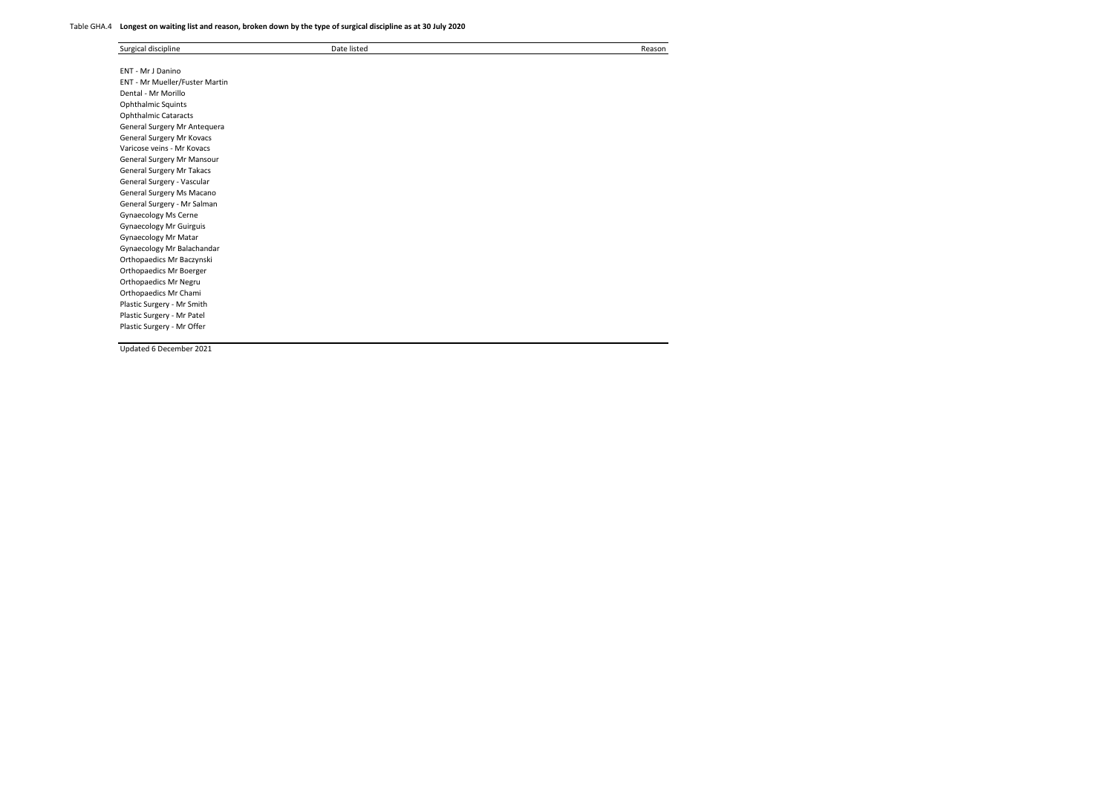## Table GHA.4 **Longest on waiting list and reason, broken down by the type of surgical discipline as at 30 July 2020**

| Surgical discipline            | Date listed | Reason |
|--------------------------------|-------------|--------|
|                                |             |        |
| ENT - Mr J Danino              |             |        |
| ENT - Mr Mueller/Fuster Martin |             |        |
| Dental - Mr Morillo            |             |        |
| Ophthalmic Squints             |             |        |
| <b>Ophthalmic Cataracts</b>    |             |        |
| General Surgery Mr Antequera   |             |        |
| General Surgery Mr Kovacs      |             |        |
| Varicose veins - Mr Kovacs     |             |        |
| General Surgery Mr Mansour     |             |        |
| General Surgery Mr Takacs      |             |        |
| General Surgery - Vascular     |             |        |
| General Surgery Ms Macano      |             |        |
| General Surgery - Mr Salman    |             |        |
| <b>Gynaecology Ms Cerne</b>    |             |        |
| Gynaecology Mr Guirguis        |             |        |
| Gynaecology Mr Matar           |             |        |
| Gynaecology Mr Balachandar     |             |        |
| Orthopaedics Mr Baczynski      |             |        |
| Orthopaedics Mr Boerger        |             |        |
| Orthopaedics Mr Negru          |             |        |
| Orthopaedics Mr Chami          |             |        |
| Plastic Surgery - Mr Smith     |             |        |
| Plastic Surgery - Mr Patel     |             |        |
| Plastic Surgery - Mr Offer     |             |        |

Updated 6 December 2021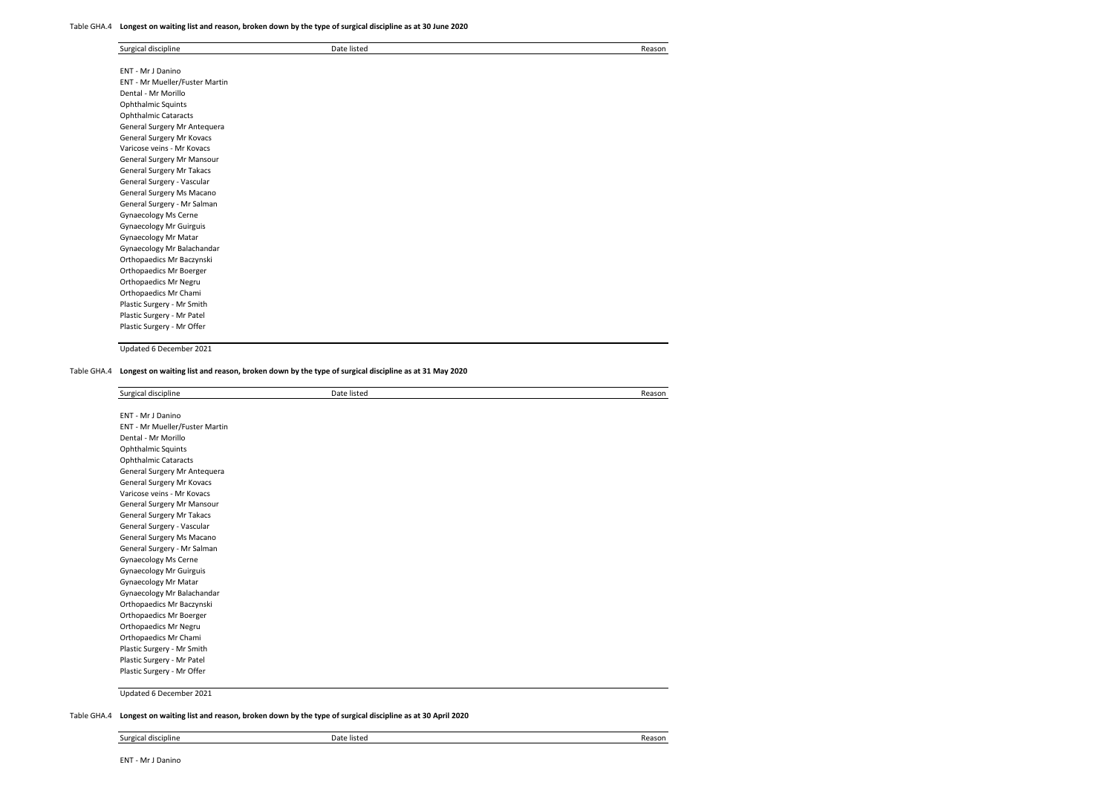#### Table GHA.4 **Longest on waiting list and reason, broken down by the type of surgical discipline as at 30 June 2020**

| Surgical discipline            | Date listed | Reason |
|--------------------------------|-------------|--------|
| ENT - Mr J Danino              |             |        |
| ENT - Mr Mueller/Fuster Martin |             |        |
| Dental - Mr Morillo            |             |        |
| Ophthalmic Squints             |             |        |
| <b>Ophthalmic Cataracts</b>    |             |        |
| General Surgery Mr Antequera   |             |        |
| General Surgery Mr Kovacs      |             |        |
| Varicose veins - Mr Kovacs     |             |        |
| General Surgery Mr Mansour     |             |        |
| General Surgery Mr Takacs      |             |        |
| General Surgery - Vascular     |             |        |
| General Surgery Ms Macano      |             |        |
| General Surgery - Mr Salman    |             |        |
| Gynaecology Ms Cerne           |             |        |
| <b>Gynaecology Mr Guirguis</b> |             |        |
| Gynaecology Mr Matar           |             |        |
| Gynaecology Mr Balachandar     |             |        |
| Orthopaedics Mr Baczynski      |             |        |
| Orthopaedics Mr Boerger        |             |        |
| Orthopaedics Mr Negru          |             |        |
| Orthopaedics Mr Chami          |             |        |
| Plastic Surgery - Mr Smith     |             |        |
| Plastic Surgery - Mr Patel     |             |        |
| Plastic Surgery - Mr Offer     |             |        |

Updated 6 December 2021

Table GHA.4 **Longest on waiting list and reason, broken down by the type of surgical discipline as at 31 May 2020**

| Surgical discipline            | Date listed | Reason |
|--------------------------------|-------------|--------|
|                                |             |        |
| ENT - Mr J Danino              |             |        |
| ENT - Mr Mueller/Fuster Martin |             |        |
| Dental - Mr Morillo            |             |        |
| <b>Ophthalmic Squints</b>      |             |        |
| <b>Ophthalmic Cataracts</b>    |             |        |
| General Surgery Mr Antequera   |             |        |
| General Surgery Mr Kovacs      |             |        |
| Varicose veins - Mr Kovacs     |             |        |
| General Surgery Mr Mansour     |             |        |
| General Surgery Mr Takacs      |             |        |
| General Surgery - Vascular     |             |        |
| General Surgery Ms Macano      |             |        |
| General Surgery - Mr Salman    |             |        |
| Gynaecology Ms Cerne           |             |        |
| <b>Gynaecology Mr Guirguis</b> |             |        |
| Gynaecology Mr Matar           |             |        |
| Gynaecology Mr Balachandar     |             |        |
| Orthopaedics Mr Baczynski      |             |        |
| Orthopaedics Mr Boerger        |             |        |
| Orthopaedics Mr Negru          |             |        |
| Orthopaedics Mr Chami          |             |        |
| Plastic Surgery - Mr Smith     |             |        |
| Plastic Surgery - Mr Patel     |             |        |
| Plastic Surgery - Mr Offer     |             |        |

Updated 6 December 2021

Table GHA.4 **Longest on waiting list and reason, broken down by the type of surgical discipline as at 30 April 2020**

Surgical discipline Date listed Reason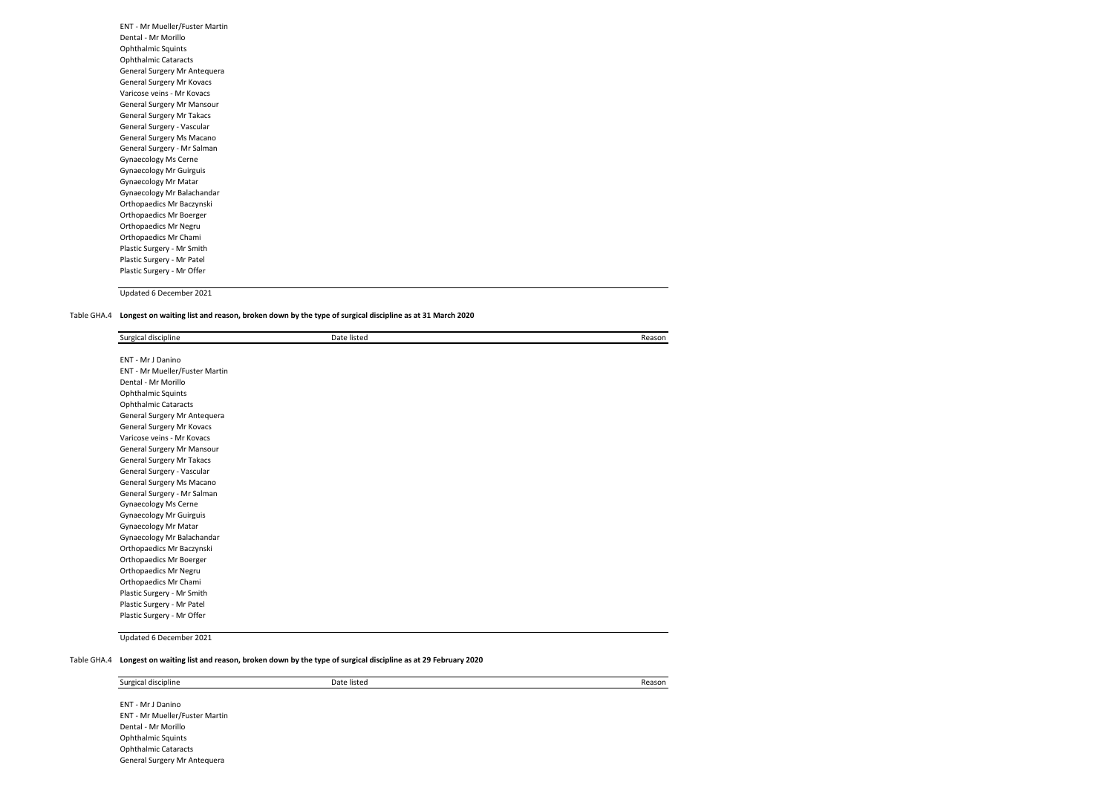| ENT - Mr Mueller/Fuster Martin |  |
|--------------------------------|--|
| Dental - Mr Morillo            |  |
| <b>Ophthalmic Squints</b>      |  |
| <b>Ophthalmic Cataracts</b>    |  |
| General Surgery Mr Antequera   |  |
| General Surgery Mr Kovacs      |  |
| Varicose veins - Mr Kovacs     |  |
| General Surgery Mr Mansour     |  |
| General Surgery Mr Takacs      |  |
| General Surgery - Vascular     |  |
| General Surgery Ms Macano      |  |
| General Surgery - Mr Salman    |  |
| Gynaecology Ms Cerne           |  |
| <b>Gynaecology Mr Guirguis</b> |  |
| <b>Gynaecology Mr Matar</b>    |  |
| Gynaecology Mr Balachandar     |  |
| Orthopaedics Mr Baczynski      |  |
| Orthopaedics Mr Boerger        |  |
| Orthopaedics Mr Negru          |  |
| Orthopaedics Mr Chami          |  |
| Plastic Surgery - Mr Smith     |  |
| Plastic Surgery - Mr Patel     |  |
| Plastic Surgery - Mr Offer     |  |
|                                |  |

## Table GHA.4 **Longest on waiting list and reason, broken down by the type of surgical discipline as at 31 March 2020**

| Surgical discipline            | Date listed | Reason |
|--------------------------------|-------------|--------|
| ENT - Mr J Danino              |             |        |
| ENT - Mr Mueller/Fuster Martin |             |        |
| Dental - Mr Morillo            |             |        |
| Ophthalmic Squints             |             |        |
| <b>Ophthalmic Cataracts</b>    |             |        |
| General Surgery Mr Antequera   |             |        |
| General Surgery Mr Kovacs      |             |        |
| Varicose veins - Mr Kovacs     |             |        |
| General Surgery Mr Mansour     |             |        |
| General Surgery Mr Takacs      |             |        |
| General Surgery - Vascular     |             |        |
| General Surgery Ms Macano      |             |        |
| General Surgery - Mr Salman    |             |        |
| Gynaecology Ms Cerne           |             |        |
| Gynaecology Mr Guirguis        |             |        |
| Gynaecology Mr Matar           |             |        |
| Gynaecology Mr Balachandar     |             |        |
| Orthopaedics Mr Baczynski      |             |        |
| Orthopaedics Mr Boerger        |             |        |
| Orthopaedics Mr Negru          |             |        |
| Orthopaedics Mr Chami          |             |        |
| Plastic Surgery - Mr Smith     |             |        |
| Plastic Surgery - Mr Patel     |             |        |
| Plastic Surgery - Mr Offer     |             |        |

Updated 6 December 2021

#### Table GHA.4 **Longest on waiting list and reason, broken down by the type of surgical discipline as at 29 February 2020**

Surgical discipline Date listed Reason

ENT - Mr J Danino ENT - Mr Mueller/Fuster Martin Dental - Mr Morillo Ophthalmic Squints Ophthalmic Cataracts General Surgery Mr Antequera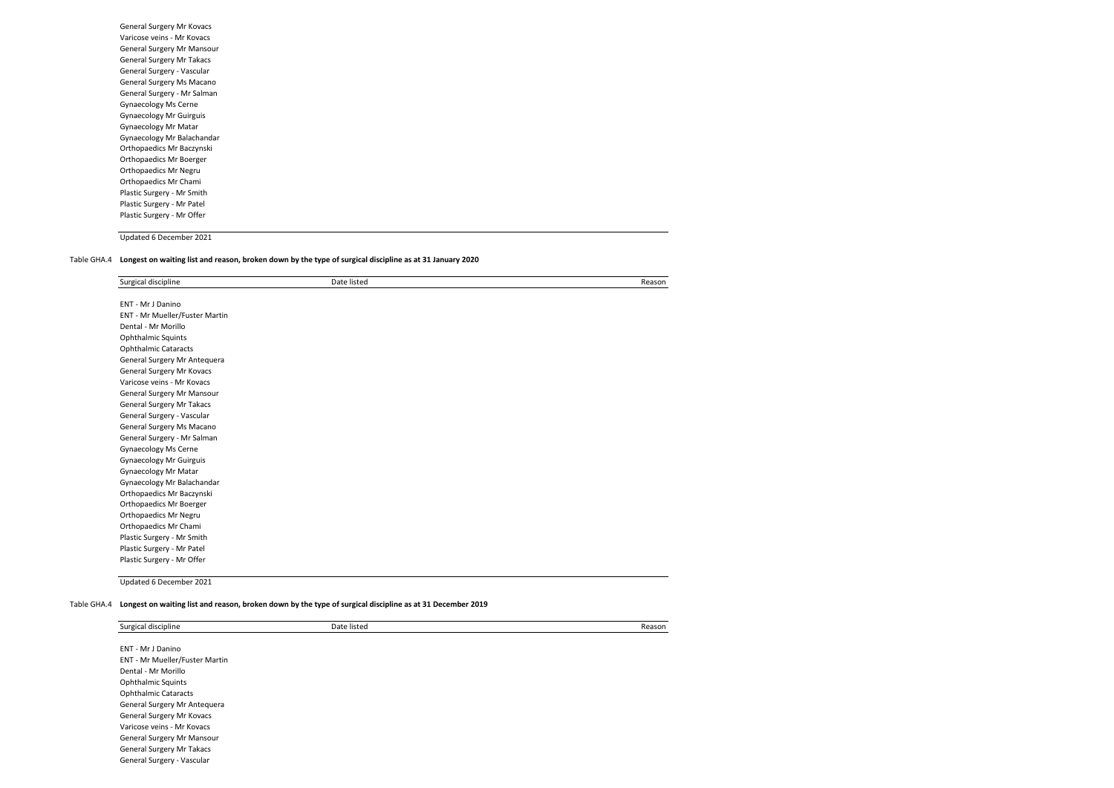| General Surgery Mr Kovacs      |
|--------------------------------|
| Varicose veins - Mr Kovacs     |
| General Surgery Mr Mansour     |
| General Surgery Mr Takacs      |
| General Surgery - Vascular     |
| General Surgery Ms Macano      |
| General Surgery - Mr Salman    |
| <b>Gynaecology Ms Cerne</b>    |
| <b>Gynaecology Mr Guirguis</b> |
| <b>Gynaecology Mr Matar</b>    |
| Gynaecology Mr Balachandar     |
| Orthopaedics Mr Baczynski      |
| Orthopaedics Mr Boerger        |
| Orthopaedics Mr Negru          |
| Orthopaedics Mr Chami          |
| Plastic Surgery - Mr Smith     |
| Plastic Surgery - Mr Patel     |
| Plastic Surgery - Mr Offer     |
|                                |

Table GHA.4 **Longest on waiting list and reason, broken down by the type of surgical discipline as at 31 January 2020**

| Surgical discipline            | Date listed | Reason |
|--------------------------------|-------------|--------|
| ENT - Mr J Danino              |             |        |
| ENT - Mr Mueller/Fuster Martin |             |        |
| Dental - Mr Morillo            |             |        |
| Ophthalmic Squints             |             |        |
| <b>Ophthalmic Cataracts</b>    |             |        |
| General Surgery Mr Antequera   |             |        |
| General Surgery Mr Kovacs      |             |        |
| Varicose veins - Mr Kovacs     |             |        |
| General Surgery Mr Mansour     |             |        |
| General Surgery Mr Takacs      |             |        |
| General Surgery - Vascular     |             |        |
| General Surgery Ms Macano      |             |        |
| General Surgery - Mr Salman    |             |        |
| Gynaecology Ms Cerne           |             |        |
| <b>Gynaecology Mr Guirguis</b> |             |        |
| Gynaecology Mr Matar           |             |        |
| Gynaecology Mr Balachandar     |             |        |
| Orthopaedics Mr Baczynski      |             |        |
| Orthopaedics Mr Boerger        |             |        |
| Orthopaedics Mr Negru          |             |        |
| Orthopaedics Mr Chami          |             |        |
| Plastic Surgery - Mr Smith     |             |        |
| Plastic Surgery - Mr Patel     |             |        |
| Plastic Surgery - Mr Offer     |             |        |
|                                |             |        |

Updated 6 December 2021

Table GHA.4 **Longest on waiting list and reason, broken down by the type of surgical discipline as at 31 December 2019**

| Surgical discipline            | Date listed | Reason |
|--------------------------------|-------------|--------|
| <b>ENT - Mr J Danino</b>       |             |        |
| ENT - Mr Mueller/Fuster Martin |             |        |
| Dental - Mr Morillo            |             |        |
| <b>Ophthalmic Squints</b>      |             |        |
| <b>Ophthalmic Cataracts</b>    |             |        |
| General Surgery Mr Antequera   |             |        |
| General Surgery Mr Kovacs      |             |        |
| Varicose veins - Mr Kovacs     |             |        |
| General Surgery Mr Mansour     |             |        |
| General Surgery Mr Takacs      |             |        |
| General Surgery - Vascular     |             |        |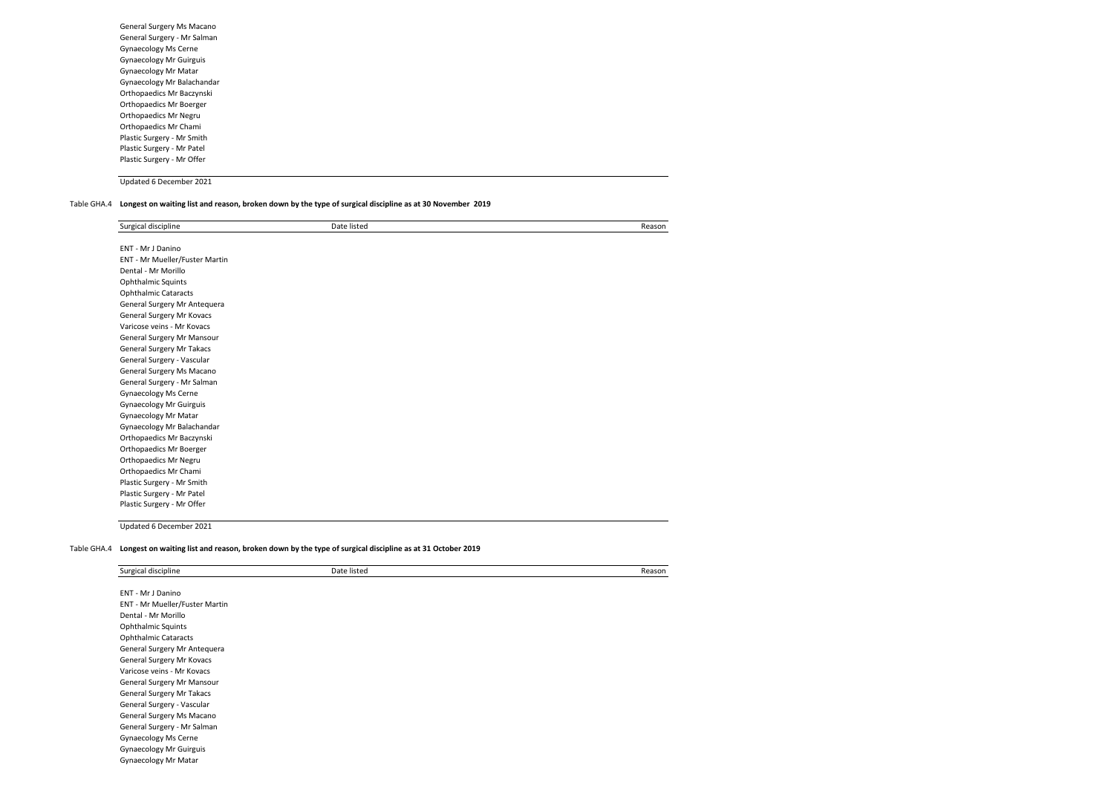General Surgery Ms Macano General Surgery - Mr Salman Gynaecology Ms Cerne Gynaecology Mr Guirguis Gynaecology Mr Matar Gynaecology Mr Balachandar Orthopaedics Mr Baczynski Orthopaedics Mr Boerger Orthopaedics Mr Negru Orthopaedics Mr Chami Plastic Surgery - Mr Smith Plastic Surgery - Mr Patel Plastic Surgery - Mr Offer

Updated 6 December 2021

#### Table GHA.4 **Longest on waiting list and reason, broken down by the type of surgical discipline as at 30 November 2019**

| Surgical discipline            | Date listed | Reason |
|--------------------------------|-------------|--------|
|                                |             |        |
| ENT - Mr J Danino              |             |        |
| ENT - Mr Mueller/Fuster Martin |             |        |
| Dental - Mr Morillo            |             |        |
| <b>Ophthalmic Squints</b>      |             |        |
| <b>Ophthalmic Cataracts</b>    |             |        |
| General Surgery Mr Antequera   |             |        |
| General Surgery Mr Kovacs      |             |        |
| Varicose veins - Mr Kovacs     |             |        |
| General Surgery Mr Mansour     |             |        |
| General Surgery Mr Takacs      |             |        |
| General Surgery - Vascular     |             |        |
| General Surgery Ms Macano      |             |        |
| General Surgery - Mr Salman    |             |        |
| <b>Gynaecology Ms Cerne</b>    |             |        |
| <b>Gynaecology Mr Guirguis</b> |             |        |
| Gynaecology Mr Matar           |             |        |
| Gynaecology Mr Balachandar     |             |        |
| Orthopaedics Mr Baczynski      |             |        |
| Orthopaedics Mr Boerger        |             |        |
| Orthopaedics Mr Negru          |             |        |
| Orthopaedics Mr Chami          |             |        |
| Plastic Surgery - Mr Smith     |             |        |
| Plastic Surgery - Mr Patel     |             |        |
| Plastic Surgery - Mr Offer     |             |        |

Updated 6 December 2021

#### Table GHA.4 **Longest on waiting list and reason, broken down by the type of surgical discipline as at 31 October 2019**

| Surgical discipline            | Date listed | Reason |
|--------------------------------|-------------|--------|
| ENT - Mr J Danino              |             |        |
| ENT - Mr Mueller/Fuster Martin |             |        |
| Dental - Mr Morillo            |             |        |
| <b>Ophthalmic Squints</b>      |             |        |
| <b>Ophthalmic Cataracts</b>    |             |        |
| General Surgery Mr Antequera   |             |        |
| General Surgery Mr Kovacs      |             |        |
| Varicose veins - Mr Kovacs     |             |        |
| General Surgery Mr Mansour     |             |        |
| General Surgery Mr Takacs      |             |        |
| General Surgery - Vascular     |             |        |
| General Surgery Ms Macano      |             |        |
| General Surgery - Mr Salman    |             |        |
| Gynaecology Ms Cerne           |             |        |
| <b>Gynaecology Mr Guirguis</b> |             |        |
| Gynaecology Mr Matar           |             |        |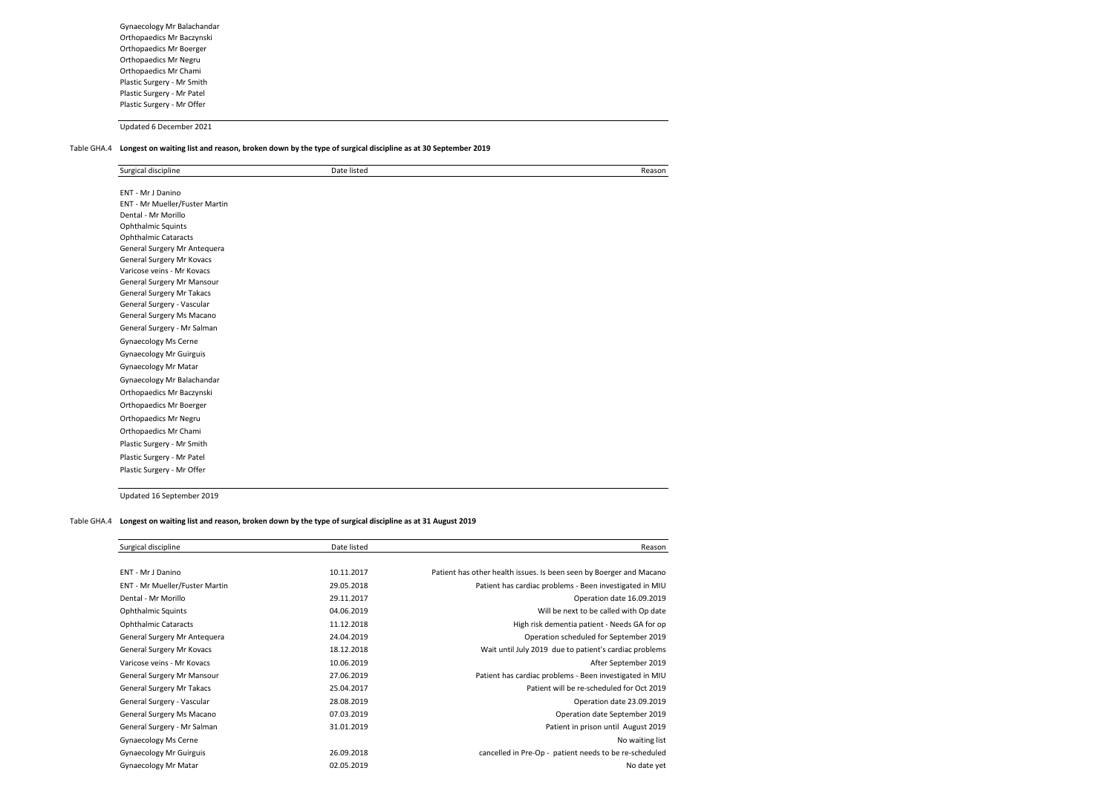Gynaecology Mr Balachandar Orthopaedics Mr Baczynski Orthopaedics Mr Boerger Orthopaedics Mr Negru Orthopaedics Mr Chami Plastic Surgery - Mr Smith Plastic Surgery - Mr Patel Plastic Surgery - Mr Offer

Updated 6 December 2021

#### Table GHA.4 **Longest on waiting list and reason, broken down by the type of surgical discipline as at 30 September 2019**

| Surgical discipline            | Date listed | Reason |
|--------------------------------|-------------|--------|
| ENT - Mr J Danino              |             |        |
| ENT - Mr Mueller/Fuster Martin |             |        |
| Dental - Mr Morillo            |             |        |
| <b>Ophthalmic Squints</b>      |             |        |
| <b>Ophthalmic Cataracts</b>    |             |        |
| General Surgery Mr Antequera   |             |        |
| General Surgery Mr Kovacs      |             |        |
| Varicose veins - Mr Kovacs     |             |        |
| General Surgery Mr Mansour     |             |        |
| General Surgery Mr Takacs      |             |        |
| General Surgery - Vascular     |             |        |
| General Surgery Ms Macano      |             |        |
| General Surgery - Mr Salman    |             |        |
| Gynaecology Ms Cerne           |             |        |
| <b>Gynaecology Mr Guirguis</b> |             |        |
| <b>Gynaecology Mr Matar</b>    |             |        |
| Gynaecology Mr Balachandar     |             |        |
| Orthopaedics Mr Baczynski      |             |        |
| Orthopaedics Mr Boerger        |             |        |
| Orthopaedics Mr Negru          |             |        |
|                                |             |        |
| Orthopaedics Mr Chami          |             |        |
| Plastic Surgery - Mr Smith     |             |        |
| Plastic Surgery - Mr Patel     |             |        |
| Plastic Surgery - Mr Offer     |             |        |

Updated 16 September 2019

#### Table GHA.4 **Longest on waiting list and reason, broken down by the type of surgical discipline as at 31 August 2019**

| Surgical discipline              | Date listed | Reason                                                              |
|----------------------------------|-------------|---------------------------------------------------------------------|
| <b>ENT - Mr.J Danino</b>         | 10.11.2017  | Patient has other health issues. Is been seen by Boerger and Macano |
| ENT - Mr Mueller/Fuster Martin   | 29.05.2018  | Patient has cardiac problems - Been investigated in MIU             |
| Dental - Mr Morillo              | 29.11.2017  | Operation date 16.09.2019                                           |
| <b>Ophthalmic Squints</b>        | 04.06.2019  | Will be next to be called with Op date                              |
| <b>Ophthalmic Cataracts</b>      | 11.12.2018  | High risk dementia patient - Needs GA for op                        |
| General Surgery Mr Antequera     | 24.04.2019  | Operation scheduled for September 2019                              |
| General Surgery Mr Kovacs        | 18.12.2018  | Wait until July 2019 due to patient's cardiac problems              |
| Varicose veins - Mr Kovacs       | 10.06.2019  | After September 2019                                                |
| General Surgery Mr Mansour       | 27.06.2019  | Patient has cardiac problems - Been investigated in MIU             |
| <b>General Surgery Mr Takacs</b> | 25.04.2017  | Patient will be re-scheduled for Oct 2019                           |
| General Surgery - Vascular       | 28.08.2019  | Operation date 23.09.2019                                           |
| General Surgery Ms Macano        | 07.03.2019  | Operation date September 2019                                       |
| General Surgery - Mr Salman      | 31.01.2019  | Patient in prison until August 2019                                 |
| Gynaecology Ms Cerne             |             | No waiting list                                                     |
| <b>Gynaecology Mr Guirguis</b>   | 26.09.2018  | cancelled in Pre-Op - patient needs to be re-scheduled              |
| <b>Gynaecology Mr Matar</b>      | 02.05.2019  | No date yet                                                         |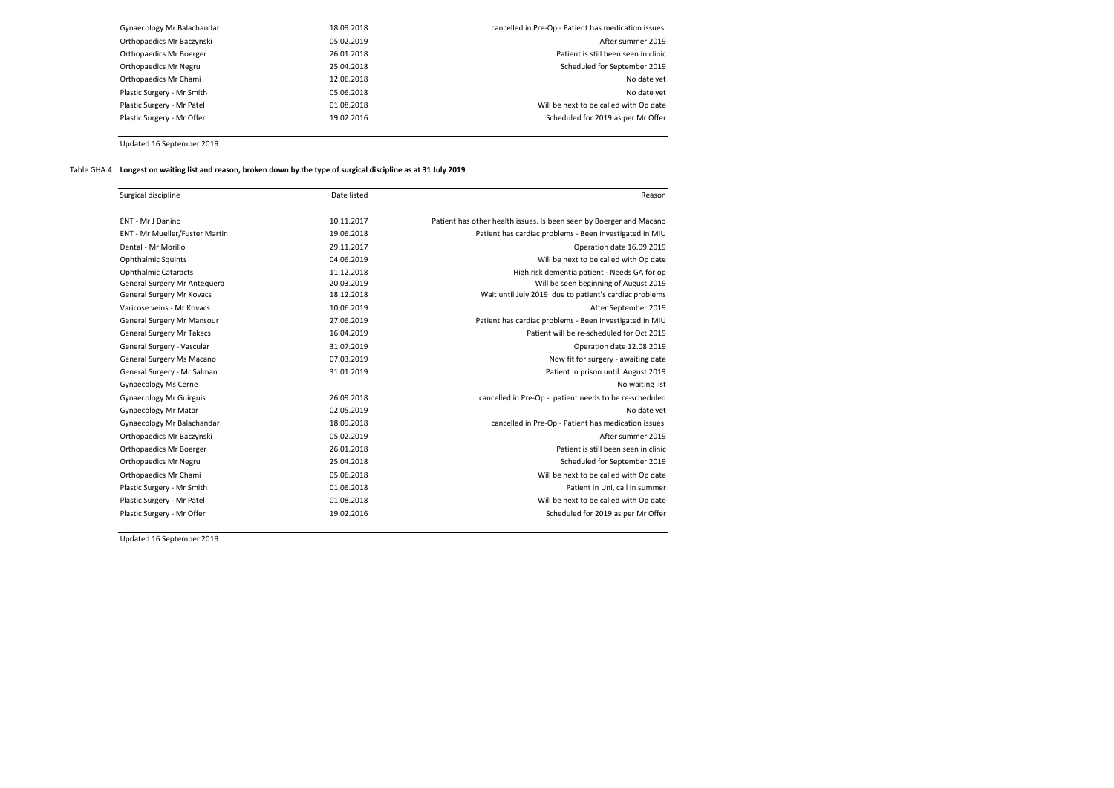| Gynaecology Mr Balachandar | 18.09.2018 | cancelled in Pre-Op - Patient has medication issues |
|----------------------------|------------|-----------------------------------------------------|
| Orthopaedics Mr Baczynski  | 05.02.2019 | After summer 2019                                   |
| Orthopaedics Mr Boerger    | 26.01.2018 | Patient is still been seen in clinic                |
| Orthopaedics Mr Negru      | 25.04.2018 | Scheduled for September 2019                        |
| Orthopaedics Mr Chami      | 12.06.2018 | No date yet                                         |
| Plastic Surgery - Mr Smith | 05.06.2018 | No date yet                                         |
| Plastic Surgery - Mr Patel | 01.08.2018 | Will be next to be called with Op date              |
| Plastic Surgery - Mr Offer | 19.02.2016 | Scheduled for 2019 as per Mr Offer                  |
|                            |            |                                                     |

Updated 16 September 2019

# Table GHA.4 **Longest on waiting list and reason, broken down by the type of surgical discipline as at 31 July 2019**

| Surgical discipline              | Date listed | Reason                                                              |
|----------------------------------|-------------|---------------------------------------------------------------------|
|                                  |             |                                                                     |
| ENT - Mr J Danino                | 10.11.2017  | Patient has other health issues. Is been seen by Boerger and Macano |
| ENT - Mr Mueller/Fuster Martin   | 19.06.2018  | Patient has cardiac problems - Been investigated in MIU             |
| Dental - Mr Morillo              | 29.11.2017  | Operation date 16.09.2019                                           |
| <b>Ophthalmic Squints</b>        | 04.06.2019  | Will be next to be called with Op date                              |
| <b>Ophthalmic Cataracts</b>      | 11.12.2018  | High risk dementia patient - Needs GA for op                        |
| General Surgery Mr Antequera     | 20.03.2019  | Will be seen beginning of August 2019                               |
| General Surgery Mr Kovacs        | 18.12.2018  | Wait until July 2019 due to patient's cardiac problems              |
| Varicose veins - Mr Kovacs       | 10.06.2019  | After September 2019                                                |
| General Surgery Mr Mansour       | 27.06.2019  | Patient has cardiac problems - Been investigated in MIU             |
| <b>General Surgery Mr Takacs</b> | 16.04.2019  | Patient will be re-scheduled for Oct 2019                           |
| General Surgery - Vascular       | 31.07.2019  | Operation date 12.08.2019                                           |
| General Surgery Ms Macano        | 07.03.2019  | Now fit for surgery - awaiting date                                 |
| General Surgery - Mr Salman      | 31.01.2019  | Patient in prison until August 2019                                 |
| Gynaecology Ms Cerne             |             | No waiting list                                                     |
| <b>Gynaecology Mr Guirguis</b>   | 26.09.2018  | cancelled in Pre-Op - patient needs to be re-scheduled              |
| <b>Gynaecology Mr Matar</b>      | 02.05.2019  | No date yet                                                         |
| Gynaecology Mr Balachandar       | 18.09.2018  | cancelled in Pre-Op - Patient has medication issues                 |
| Orthopaedics Mr Baczynski        | 05.02.2019  | After summer 2019                                                   |
| Orthopaedics Mr Boerger          | 26.01.2018  | Patient is still been seen in clinic                                |
| Orthopaedics Mr Negru            | 25.04.2018  | Scheduled for September 2019                                        |
| Orthopaedics Mr Chami            | 05.06.2018  | Will be next to be called with Op date                              |
| Plastic Surgery - Mr Smith       | 01.06.2018  | Patient in Uni, call in summer                                      |
| Plastic Surgery - Mr Patel       | 01.08.2018  | Will be next to be called with Op date                              |
| Plastic Surgery - Mr Offer       | 19.02.2016  | Scheduled for 2019 as per Mr Offer                                  |

Updated 16 September 2019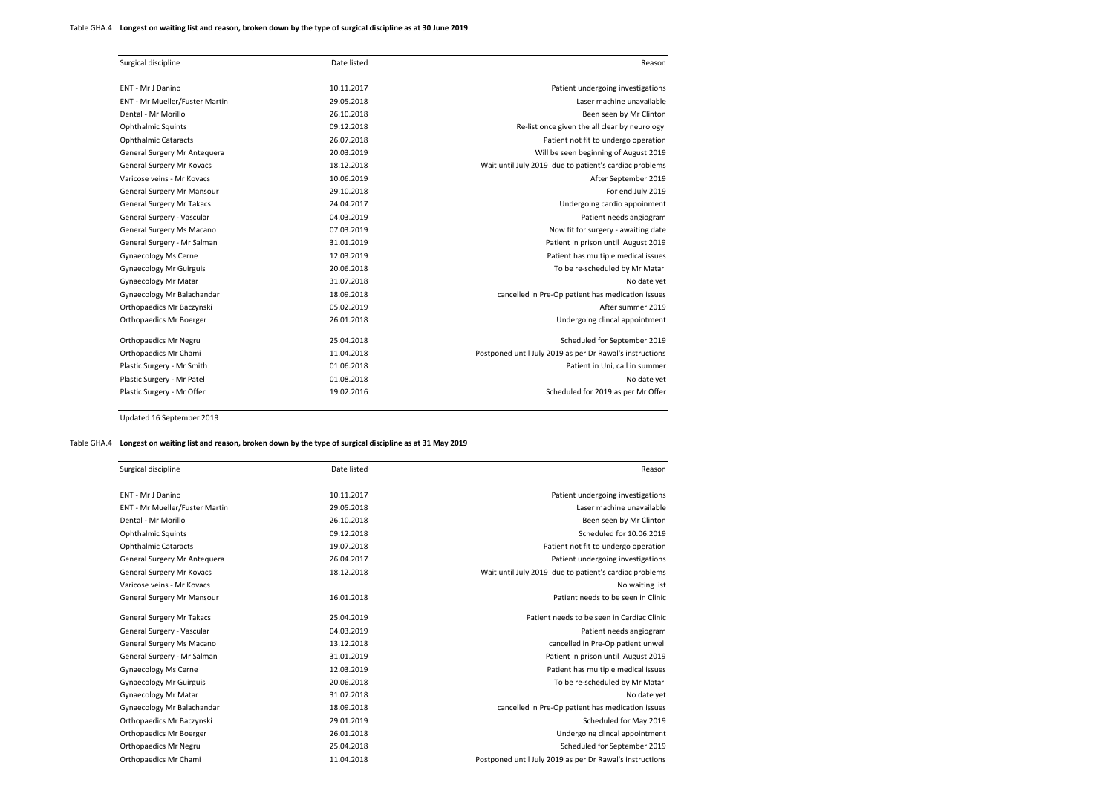| Surgical discipline              | Date listed | Reason                                                   |
|----------------------------------|-------------|----------------------------------------------------------|
|                                  |             |                                                          |
| ENT - Mr J Danino                | 10.11.2017  | Patient undergoing investigations                        |
| ENT - Mr Mueller/Fuster Martin   | 29.05.2018  | Laser machine unavailable                                |
| Dental - Mr Morillo              | 26.10.2018  | Been seen by Mr Clinton                                  |
| <b>Ophthalmic Squints</b>        | 09.12.2018  | Re-list once given the all clear by neurology            |
| <b>Ophthalmic Cataracts</b>      | 26.07.2018  | Patient not fit to undergo operation                     |
| General Surgery Mr Antequera     | 20.03.2019  | Will be seen beginning of August 2019                    |
| General Surgery Mr Kovacs        | 18.12.2018  | Wait until July 2019 due to patient's cardiac problems   |
| Varicose veins - Mr Kovacs       | 10.06.2019  | After September 2019                                     |
| General Surgery Mr Mansour       | 29.10.2018  | For end July 2019                                        |
| <b>General Surgery Mr Takacs</b> | 24.04.2017  | Undergoing cardio appoinment                             |
| General Surgery - Vascular       | 04.03.2019  | Patient needs angiogram                                  |
| General Surgery Ms Macano        | 07.03.2019  | Now fit for surgery - awaiting date                      |
| General Surgery - Mr Salman      | 31.01.2019  | Patient in prison until August 2019                      |
| Gynaecology Ms Cerne             | 12.03.2019  | Patient has multiple medical issues                      |
| <b>Gynaecology Mr Guirguis</b>   | 20.06.2018  | To be re-scheduled by Mr Matar                           |
| <b>Gynaecology Mr Matar</b>      | 31.07.2018  | No date yet                                              |
| Gynaecology Mr Balachandar       | 18.09.2018  | cancelled in Pre-Op patient has medication issues        |
| Orthopaedics Mr Baczynski        | 05.02.2019  | After summer 2019                                        |
| Orthopaedics Mr Boerger          | 26.01.2018  | Undergoing clincal appointment                           |
| Orthopaedics Mr Negru            | 25.04.2018  | Scheduled for September 2019                             |
| Orthopaedics Mr Chami            | 11.04.2018  | Postponed until July 2019 as per Dr Rawal's instructions |
| Plastic Surgery - Mr Smith       | 01.06.2018  | Patient in Uni, call in summer                           |
| Plastic Surgery - Mr Patel       | 01.08.2018  | No date yet                                              |
| Plastic Surgery - Mr Offer       | 19.02.2016  | Scheduled for 2019 as per Mr Offer                       |
|                                  |             |                                                          |

Updated 16 September 2019

#### Table GHA.4 **Longest on waiting list and reason, broken down by the type of surgical discipline as at 31 May 2019**

| Surgical discipline              | Date listed | Reason                                                   |
|----------------------------------|-------------|----------------------------------------------------------|
|                                  |             |                                                          |
| ENT - Mr J Danino                | 10.11.2017  | Patient undergoing investigations                        |
| ENT - Mr Mueller/Fuster Martin   | 29.05.2018  | Laser machine unavailable                                |
| Dental - Mr Morillo              | 26.10.2018  | Been seen by Mr Clinton                                  |
| <b>Ophthalmic Squints</b>        | 09.12.2018  | Scheduled for 10.06.2019                                 |
| <b>Ophthalmic Cataracts</b>      | 19.07.2018  | Patient not fit to undergo operation                     |
| General Surgery Mr Antequera     | 26.04.2017  | Patient undergoing investigations                        |
| General Surgery Mr Kovacs        | 18.12.2018  | Wait until July 2019 due to patient's cardiac problems   |
| Varicose veins - Mr Kovacs       |             | No waiting list                                          |
| General Surgery Mr Mansour       | 16.01.2018  | Patient needs to be seen in Clinic                       |
| <b>General Surgery Mr Takacs</b> | 25.04.2019  | Patient needs to be seen in Cardiac Clinic               |
| General Surgery - Vascular       | 04.03.2019  | Patient needs angiogram                                  |
| General Surgery Ms Macano        | 13.12.2018  | cancelled in Pre-Op patient unwell                       |
| General Surgery - Mr Salman      | 31.01.2019  | Patient in prison until August 2019                      |
| Gynaecology Ms Cerne             | 12.03.2019  | Patient has multiple medical issues                      |
| <b>Gynaecology Mr Guirguis</b>   | 20.06.2018  | To be re-scheduled by Mr Matar                           |
| <b>Gynaecology Mr Matar</b>      | 31.07.2018  | No date yet                                              |
| Gynaecology Mr Balachandar       | 18.09.2018  | cancelled in Pre-Op patient has medication issues        |
| Orthopaedics Mr Baczynski        | 29.01.2019  | Scheduled for May 2019                                   |
| Orthopaedics Mr Boerger          | 26.01.2018  | Undergoing clincal appointment                           |
| Orthopaedics Mr Negru            | 25.04.2018  | Scheduled for September 2019                             |
| Orthopaedics Mr Chami            | 11.04.2018  | Postponed until July 2019 as per Dr Rawal's instructions |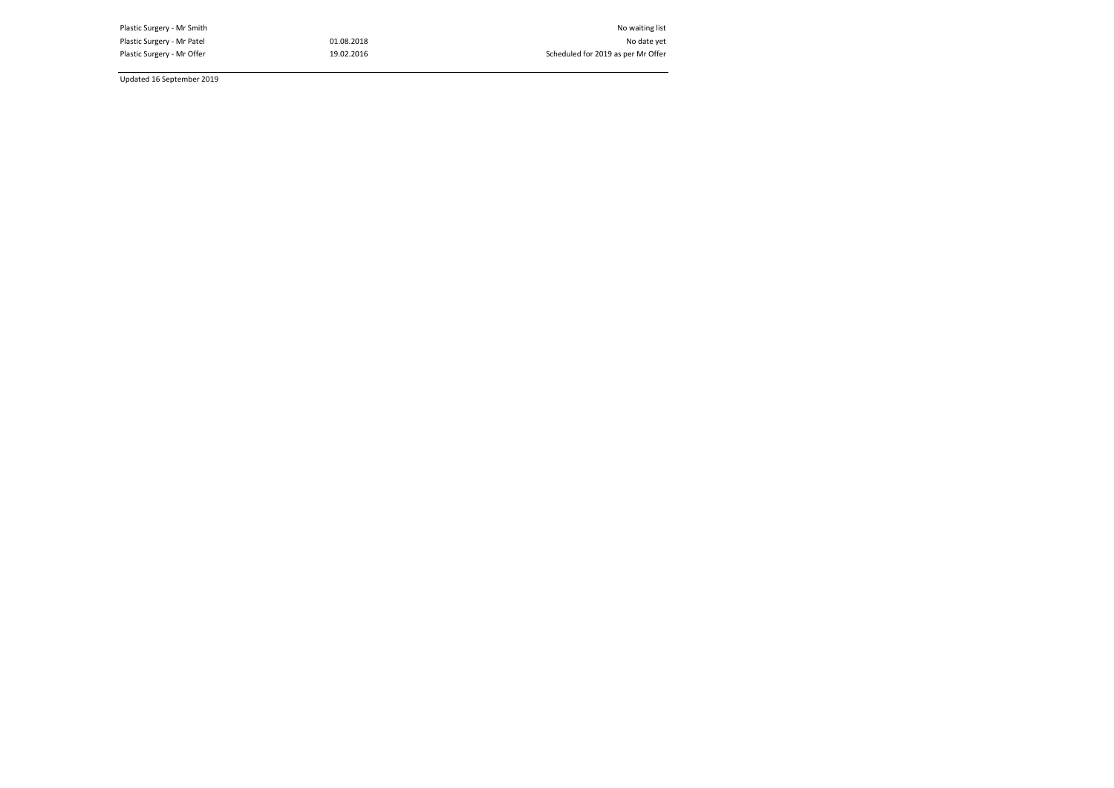Plastic Surgery - Mr Smith Nova is the Nova is the Nova is the Nova is the Nova is the Nova is the Nova is the<br>Plastic Surgery - Mr Patel Nova is the Nova is the Nova is the Nova is the Nova is the Nova is the Nova is the<br> Plastic Surgery - Mr Patel 01.08.2018 01.08.2018<br>Plastic Surgery - Mr Offer 19.02.2016

Scheduled for 2019 as per Mr Offer

Updated 16 September 2019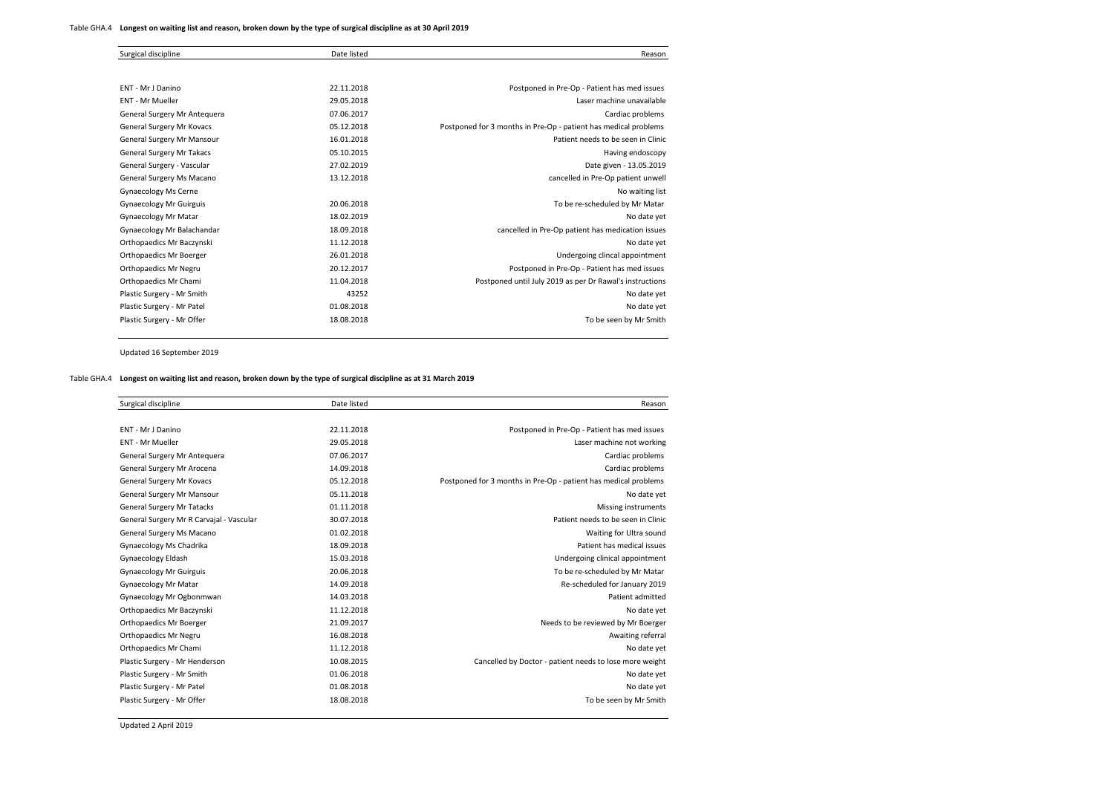| Surgical discipline              | Date listed | Reason                                                          |
|----------------------------------|-------------|-----------------------------------------------------------------|
|                                  |             |                                                                 |
| ENT - Mr J Danino                | 22.11.2018  | Postponed in Pre-Op - Patient has med issues                    |
| <b>ENT - Mr Mueller</b>          | 29.05.2018  | Laser machine unavailable                                       |
| General Surgery Mr Antequera     | 07.06.2017  | Cardiac problems                                                |
| General Surgery Mr Kovacs        | 05.12.2018  | Postponed for 3 months in Pre-Op - patient has medical problems |
| General Surgery Mr Mansour       | 16.01.2018  | Patient needs to be seen in Clinic                              |
| <b>General Surgery Mr Takacs</b> | 05.10.2015  | Having endoscopy                                                |
| General Surgery - Vascular       | 27.02.2019  | Date given - 13.05.2019                                         |
| General Surgery Ms Macano        | 13.12.2018  | cancelled in Pre-Op patient unwell                              |
| Gynaecology Ms Cerne             |             | No waiting list                                                 |
| <b>Gynaecology Mr Guirguis</b>   | 20.06.2018  | To be re-scheduled by Mr Matar                                  |
| <b>Gynaecology Mr Matar</b>      | 18.02.2019  | No date yet                                                     |
| Gynaecology Mr Balachandar       | 18.09.2018  | cancelled in Pre-Op patient has medication issues               |
| Orthopaedics Mr Baczynski        | 11.12.2018  | No date yet                                                     |
| Orthopaedics Mr Boerger          | 26.01.2018  | Undergoing clincal appointment                                  |
| Orthopaedics Mr Negru            | 20.12.2017  | Postponed in Pre-Op - Patient has med issues                    |
| Orthopaedics Mr Chami            | 11.04.2018  | Postponed until July 2019 as per Dr Rawal's instructions        |
| Plastic Surgery - Mr Smith       | 43252       | No date yet                                                     |
| Plastic Surgery - Mr Patel       | 01.08.2018  | No date yet                                                     |
| Plastic Surgery - Mr Offer       | 18.08.2018  | To be seen by Mr Smith                                          |

Updated 16 September 2019

## Table GHA.4 **Longest on waiting list and reason, broken down by the type of surgical discipline as at 31 March 2019**

| Reason                                                          | Date listed | Surgical discipline                      |
|-----------------------------------------------------------------|-------------|------------------------------------------|
|                                                                 |             |                                          |
| Postponed in Pre-Op - Patient has med issues                    | 22.11.2018  | ENT - Mr J Danino                        |
| Laser machine not working                                       | 29.05.2018  | <b>ENT - Mr Mueller</b>                  |
| Cardiac problems                                                | 07.06.2017  | General Surgery Mr Antequera             |
| Cardiac problems                                                | 14.09.2018  | General Surgery Mr Arocena               |
| Postponed for 3 months in Pre-Op - patient has medical problems | 05.12.2018  | General Surgery Mr Kovacs                |
| No date yet                                                     | 05.11.2018  | General Surgery Mr Mansour               |
| Missing instruments                                             | 01.11.2018  | <b>General Surgery Mr Tatacks</b>        |
| Patient needs to be seen in Clinic                              | 30.07.2018  | General Surgery Mr R Carvajal - Vascular |
| Waiting for Ultra sound                                         | 01.02.2018  | General Surgery Ms Macano                |
| Patient has medical issues                                      | 18.09.2018  | Gynaecology Ms Chadrika                  |
| Undergoing clinical appointment                                 | 15.03.2018  | Gynaecology Eldash                       |
| To be re-scheduled by Mr Matar                                  | 20.06.2018  | <b>Gynaecology Mr Guirguis</b>           |
| Re-scheduled for January 2019                                   | 14.09.2018  | <b>Gynaecology Mr Matar</b>              |
| Patient admitted                                                | 14.03.2018  | Gynaecology Mr Ogbonmwan                 |
| No date vet                                                     | 11.12.2018  | Orthopaedics Mr Baczynski                |
| Needs to be reviewed by Mr Boerger                              | 21.09.2017  | Orthopaedics Mr Boerger                  |
| Awaiting referral                                               | 16.08.2018  | Orthopaedics Mr Negru                    |
| No date yet                                                     | 11.12.2018  | Orthopaedics Mr Chami                    |
| Cancelled by Doctor - patient needs to lose more weight         | 10.08.2015  | Plastic Surgery - Mr Henderson           |
| No date yet                                                     | 01.06.2018  | Plastic Surgery - Mr Smith               |
| No date yet                                                     | 01.08.2018  | Plastic Surgery - Mr Patel               |
| To be seen by Mr Smith                                          | 18.08.2018  | Plastic Surgery - Mr Offer               |

Updated 2 April 2019